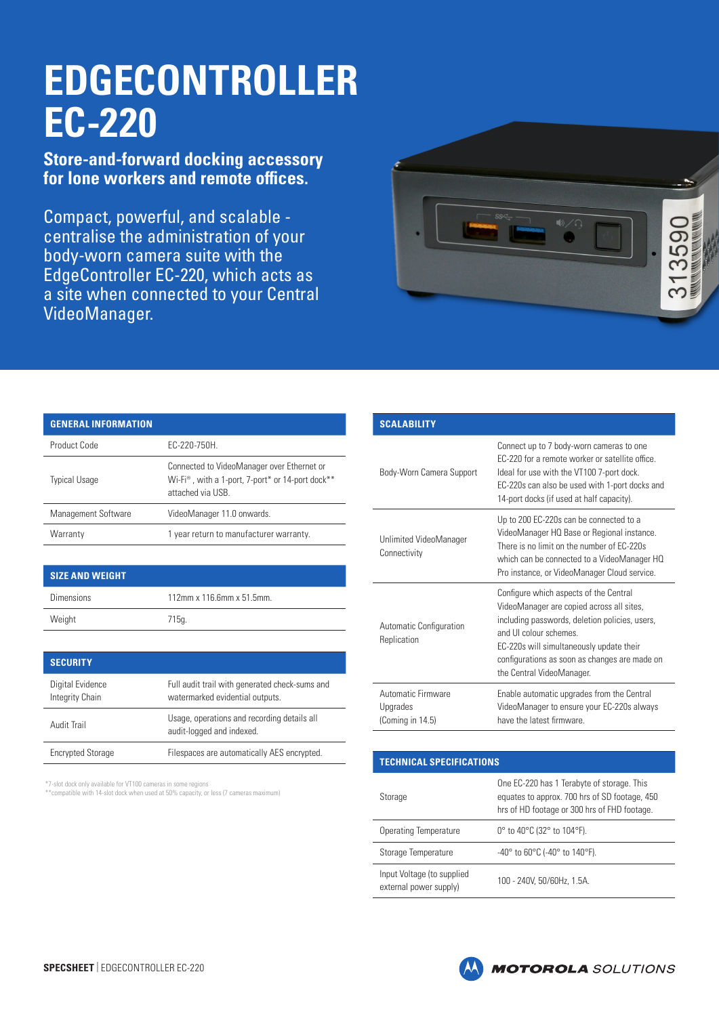## **EDGECONTROLLER EC-220**

**Store-and-forward docking accessory for lone workers and remote offices.**

Compact, powerful, and scalable centralise the administration of your body-worn camera suite with the EdgeController EC-220, which acts as a site when connected to your Central VideoManager.



| <b>GENERAL INFORMATION</b> |                                                                                                                                                         |
|----------------------------|---------------------------------------------------------------------------------------------------------------------------------------------------------|
| Product Code               | EC-220-750H.                                                                                                                                            |
| <b>Typical Usage</b>       | Connected to VideoManager over Ethernet or<br>Wi-Fi <sup>®</sup> , with a 1-port, 7-port <sup>*</sup> or 14-port dock <sup>**</sup><br>attached via USB |
| Management Software        | VideoManager 11.0 onwards.                                                                                                                              |
| Warranty                   | 1 year return to manufacturer warranty.                                                                                                                 |
|                            |                                                                                                                                                         |

## **SIZE AND WEIGHT**

| <b>Dimensions</b> | 112mm x 116.6mm x 51.5mm. |
|-------------------|---------------------------|
| Weight            | 715g.                     |

| <b>SECURITY</b>                     |                                                                                   |
|-------------------------------------|-----------------------------------------------------------------------------------|
| Digital Evidence<br>Integrity Chain | Full audit trail with generated check-sums and<br>watermarked evidential outputs. |
| Audit Trail                         | Usage, operations and recording details all<br>audit-logged and indexed.          |
| <b>Encrypted Storage</b>            | Filespaces are automatically AES encrypted.                                       |

\*7-slot dock only available for VT100 cameras in some regions

\*\*compatible with 14-slot dock when used at 50% capacity, or less (7 cameras maximum)

| <b>SCALABILITY</b>                                 |                                                                                                                                                                                                                                                                                          |
|----------------------------------------------------|------------------------------------------------------------------------------------------------------------------------------------------------------------------------------------------------------------------------------------------------------------------------------------------|
| Body-Worn Camera Support                           | Connect up to 7 body-worn cameras to one<br>EC-220 for a remote worker or satellite office<br>Ideal for use with the VT100 7-port dock.<br>EC-220s can also be used with 1-port docks and<br>14-port docks (if used at half capacity).                                                   |
| Unlimited VideoManager<br>Connectivity             | Up to 200 EC-220s can be connected to a<br>VideoManager HQ Base or Regional instance.<br>There is no limit on the number of EC-220s<br>which can be connected to a VideoManager HQ<br>Pro instance, or VideoManager Cloud service.                                                       |
| Automatic Configuration<br>Replication             | Configure which aspects of the Central<br>VideoManager are copied across all sites,<br>including passwords, deletion policies, users,<br>and UI colour schemes<br>EC-220s will simultaneously update their<br>configurations as soon as changes are made on<br>the Central VideoManager. |
| Automatic Firmware<br>Upgrades<br>(Coming in 14.5) | Enable automatic upgrades from the Central<br>VideoManager to ensure your EC-220s always<br>have the latest firmware                                                                                                                                                                     |

| <b>TECHNICAL SPECIFICATIONS</b>                      |                                                                                                                                             |  |
|------------------------------------------------------|---------------------------------------------------------------------------------------------------------------------------------------------|--|
| Storage                                              | One EC-220 has 1 Terabyte of storage. This<br>equates to approx. 700 hrs of SD footage, 450<br>hrs of HD footage or 300 hrs of FHD footage. |  |
| <b>Operating Temperature</b>                         | 0° to 40°C (32° to 104°F).                                                                                                                  |  |
| Storage Temperature                                  | $-40^{\circ}$ to 60 $^{\circ}$ C (-40 $^{\circ}$ to 140 $^{\circ}$ F).                                                                      |  |
| Input Voltage (to supplied<br>external power supply) | 100 - 240V, 50/60Hz, 1.5A,                                                                                                                  |  |